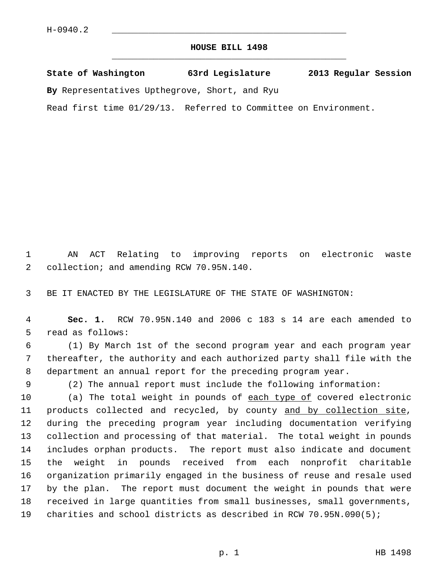## **HOUSE BILL 1498** \_\_\_\_\_\_\_\_\_\_\_\_\_\_\_\_\_\_\_\_\_\_\_\_\_\_\_\_\_\_\_\_\_\_\_\_\_\_\_\_\_\_\_\_\_

**State of Washington 63rd Legislature 2013 Regular Session**

**By** Representatives Upthegrove, Short, and Ryu

Read first time 01/29/13. Referred to Committee on Environment.

 1 AN ACT Relating to improving reports on electronic waste 2 collection; and amending RCW 70.95N.140.

3 BE IT ENACTED BY THE LEGISLATURE OF THE STATE OF WASHINGTON:

 4 **Sec. 1.** RCW 70.95N.140 and 2006 c 183 s 14 are each amended to 5 read as follows:

 6 (1) By March 1st of the second program year and each program year 7 thereafter, the authority and each authorized party shall file with the 8 department an annual report for the preceding program year.

9 (2) The annual report must include the following information:

10 (a) The total weight in pounds of each type of covered electronic 11 products collected and recycled, by county and by collection site, 12 during the preceding program year including documentation verifying 13 collection and processing of that material. The total weight in pounds 14 includes orphan products. The report must also indicate and document 15 the weight in pounds received from each nonprofit charitable 16 organization primarily engaged in the business of reuse and resale used 17 by the plan. The report must document the weight in pounds that were 18 received in large quantities from small businesses, small governments, 19 charities and school districts as described in RCW 70.95N.090(5);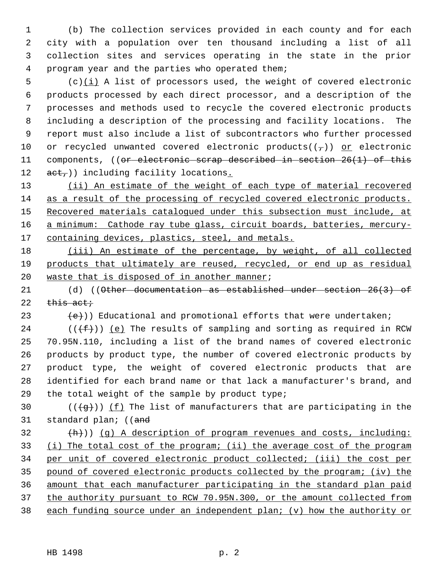1 (b) The collection services provided in each county and for each 2 city with a population over ten thousand including a list of all 3 collection sites and services operating in the state in the prior 4 program year and the parties who operated them;

 $5$  (c) $(i)$  A list of processors used, the weight of covered electronic 6 products processed by each direct processor, and a description of the 7 processes and methods used to recycle the covered electronic products 8 including a description of the processing and facility locations. The 9 report must also include a list of subcontractors who further processed 10 or recycled unwanted covered electronic products( $(\tau)$ ) or electronic 11 components, ((or electronic scrap described in section 26(1) of this 12  $act$ )) including facility locations.

 (ii) An estimate of the weight of each type of material recovered as a result of the processing of recycled covered electronic products. Recovered materials catalogued under this subsection must include, at a minimum: Cathode ray tube glass, circuit boards, batteries, mercury-17 containing devices, plastics, steel, and metals.

18 (iii) An estimate of the percentage, by weight, of all collected 19 products that ultimately are reused, recycled, or end up as residual 20 waste that is disposed of in another manner;

21 (d) ((Other documentation as established under section 26(3) of 22  $this$  act;

23  $(e)$ ) Educational and promotional efforts that were undertaken;

24 ( $(\{\text{f}\})$ ) (e) The results of sampling and sorting as required in RCW 25 70.95N.110, including a list of the brand names of covered electronic 26 products by product type, the number of covered electronic products by 27 product type, the weight of covered electronic products that are 28 identified for each brand name or that lack a manufacturer's brand, and 29 the total weight of the sample by product type;

30 ( $(\overline{q})$ ) (f) The list of manufacturers that are participating in the 31 standard plan; ((and

 $\{\hbox{h}\}\)$  (q) A description of program revenues and costs, including: (i) The total cost of the program; (ii) the average cost of the program per unit of covered electronic product collected; (iii) the cost per pound of covered electronic products collected by the program; (iv) the amount that each manufacturer participating in the standard plan paid the authority pursuant to RCW 70.95N.300, or the amount collected from each funding source under an independent plan; (v) how the authority or